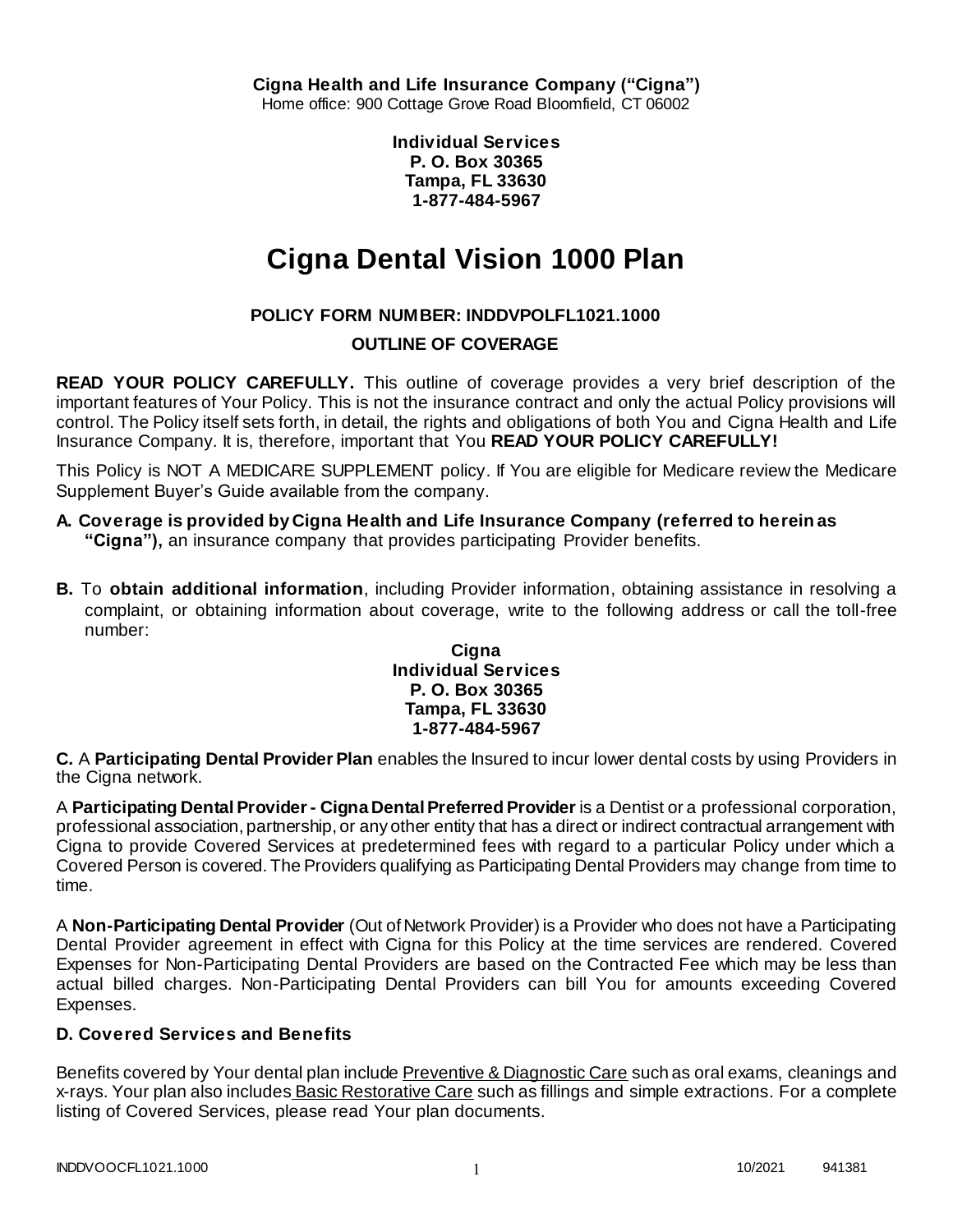**Cigna Health and Life Insurance Company ("Cigna")** Home office: 900 Cottage Grove Road Bloomfield, CT 06002

> **Individual Services P. O. Box 30365 Tampa, FL 33630 1-877-484-5967**

# **Cigna Dental Vision 1000 Plan**

## **POLICY FORM NUMBER: INDDVPOLFL1021.1000**

## **OUTLINE OF COVERAGE**

**READ YOUR POLICY CAREFULLY.** This outline of coverage provides a very brief description of the important features of Your Policy. This is not the insurance contract and only the actual Policy provisions will control. The Policy itself sets forth, in detail, the rights and obligations of both You and Cigna Health and Life Insurance Company. It is, therefore, important that You **READ YOUR POLICY CAREFULLY!** 

This Policy is NOT A MEDICARE SUPPLEMENT policy. If You are eligible for Medicare review the Medicare Supplement Buyer's Guide available from the company.

- **A. Coverage is provided by Cigna Health and Life Insurance Company (referred to herein as "Cigna"),** an insurance company that provides participating Provider benefits.
- **B.** To **obtain additional information**, including Provider information, obtaining assistance in resolving a complaint, or obtaining information about coverage, write to the following address or call the toll-free number:

**Cigna Individual Services P. O. Box 30365 Tampa, FL 33630 1-877-484-5967**

**C.** A **Participating Dental Provider Plan** enables the Insured to incur lower dental costs by using Providers in the Cigna network.

A **Participating DentalProvider - Cigna Dental Preferred Provider** is a Dentist or a professional corporation, professional association, partnership, or any other entity that has a direct or indirect contractual arrangement with Cigna to provide Covered Services at predetermined fees with regard to a particular Policy under which a Covered Person is covered. The Providers qualifying as Participating Dental Providers may change from time to time.

A **Non-Participating Dental Provider** (Out of Network Provider) is a Provider who does not have a Participating Dental Provider agreement in effect with Cigna for this Policy at the time services are rendered. Covered Expenses for Non-Participating Dental Providers are based on the Contracted Fee which may be less than actual billed charges. Non-Participating Dental Providers can bill You for amounts exceeding Covered Expenses.

## **D. Covered Services and Benefits**

Benefits covered by Your dental plan include Preventive & Diagnostic Care such as oral exams, cleanings and x-rays. Your plan also includes Basic Restorative Care such as fillings and simple extractions. For a complete listing of Covered Services, please read Your plan documents.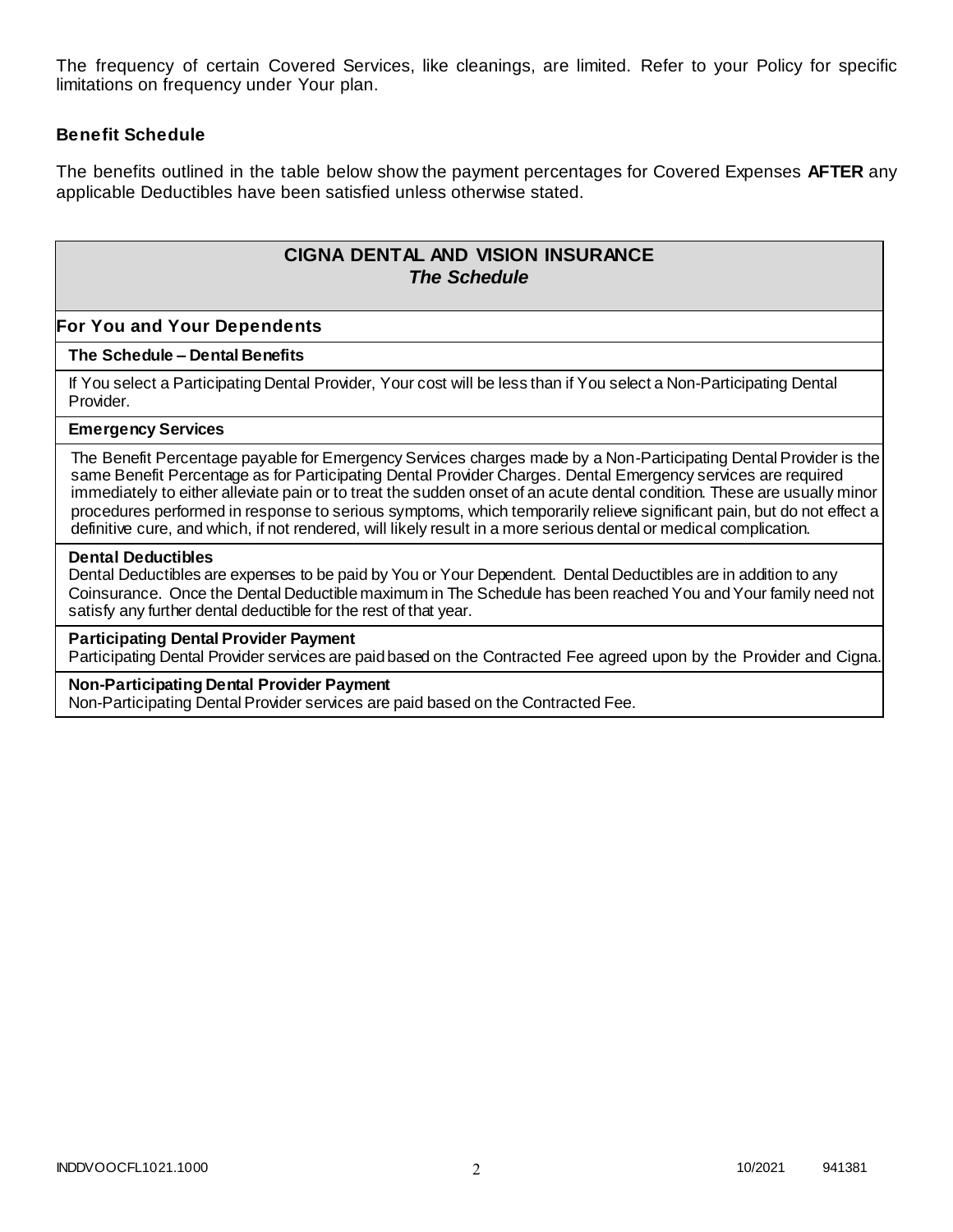The frequency of certain Covered Services, like cleanings, are limited. Refer to your Policy for specific limitations on frequency under Your plan.

#### **Benefit Schedule**

The benefits outlined in the table below show the payment percentages for Covered Expenses **AFTER** any applicable Deductibles have been satisfied unless otherwise stated.

## **CIGNA DENTAL AND VISION INSURANCE** *The Schedule*

#### **For You and Your Dependents**

#### **The Schedule – Dental Benefits**

If You select a Participating Dental Provider, Your cost will be less than if You select a Non-Participating Dental Provider.

#### **Emergency Services**

The Benefit Percentage payable for Emergency Services charges made by a Non-Participating Dental Provider is the same Benefit Percentage as for Participating Dental Provider Charges. Dental Emergency services are required immediately to either alleviate pain or to treat the sudden onset of an acute dental condition. These are usually minor procedures performed in response to serious symptoms, which temporarily relieve significant pain, but do not effect a definitive cure, and which, if not rendered, will likely result in a more serious dental or medical complication.

#### **Dental Deductibles**

Dental Deductibles are expenses to be paid by You or Your Dependent. Dental Deductibles are in addition to any Coinsurance. Once the Dental Deductible maximum in The Schedule has been reached You and Your family need not satisfy any further dental deductible for the rest of that year.

#### **Participating Dental Provider Payment**

Participating Dental Provider services are paid based on the Contracted Fee agreed upon by the Provider and Cigna.

#### **Non-Participating Dental Provider Payment**

Non-Participating Dental Provider services are paid based on the Contracted Fee.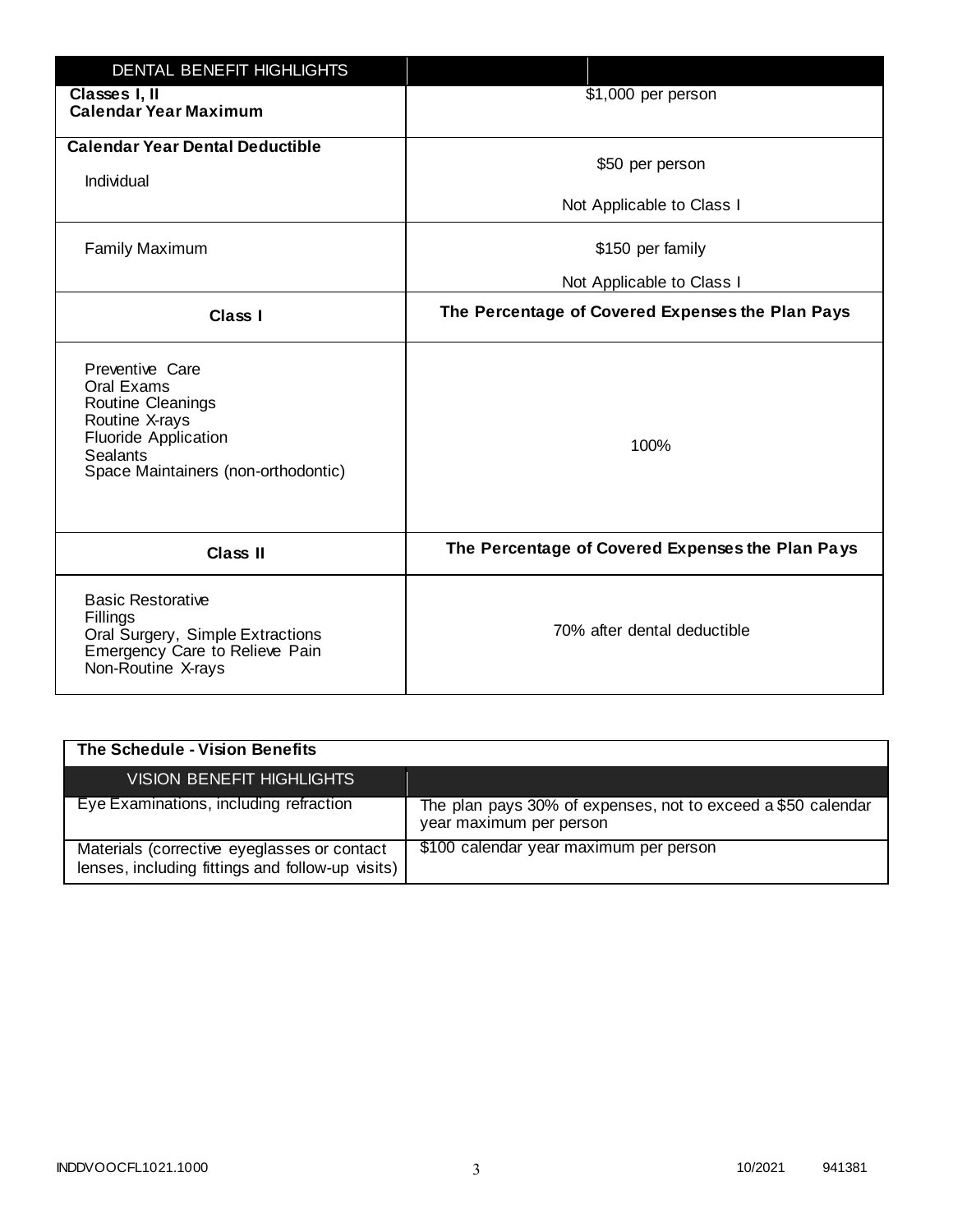| <b>DENTAL BENEFIT HIGHLIGHTS</b>                                                                                                                              |                                                  |
|---------------------------------------------------------------------------------------------------------------------------------------------------------------|--------------------------------------------------|
| Classes I, II<br><b>Calendar Year Maximum</b>                                                                                                                 | \$1,000 per person                               |
| <b>Calendar Year Dental Deductible</b><br>Individual                                                                                                          | \$50 per person                                  |
|                                                                                                                                                               | Not Applicable to Class I                        |
| <b>Family Maximum</b>                                                                                                                                         | \$150 per family                                 |
|                                                                                                                                                               | Not Applicable to Class I                        |
| <b>Class I</b>                                                                                                                                                | The Percentage of Covered Expenses the Plan Pays |
| Preventive Care<br>Oral Exams<br>Routine Cleanings<br>Routine X-rays<br><b>Fluoride Application</b><br><b>Sealants</b><br>Space Maintainers (non-orthodontic) | 100%                                             |
| <b>Class II</b>                                                                                                                                               | The Percentage of Covered Expenses the Plan Pays |
| <b>Basic Restorative</b><br>Fillings<br>Oral Surgery, Simple Extractions<br>Emergency Care to Relieve Pain<br>Non-Routine X-rays                              | 70% after dental deductible                      |

| The Schedule - Vision Benefits                                                                  |                                                                                         |
|-------------------------------------------------------------------------------------------------|-----------------------------------------------------------------------------------------|
| <b>VISION BENEFIT HIGHLIGHTS,</b>                                                               |                                                                                         |
| Eye Examinations, including refraction                                                          | The plan pays 30% of expenses, not to exceed a \$50 calendar<br>year maximum per person |
| Materials (corrective eyeglasses or contact<br>lenses, including fittings and follow-up visits) | \$100 calendar year maximum per person                                                  |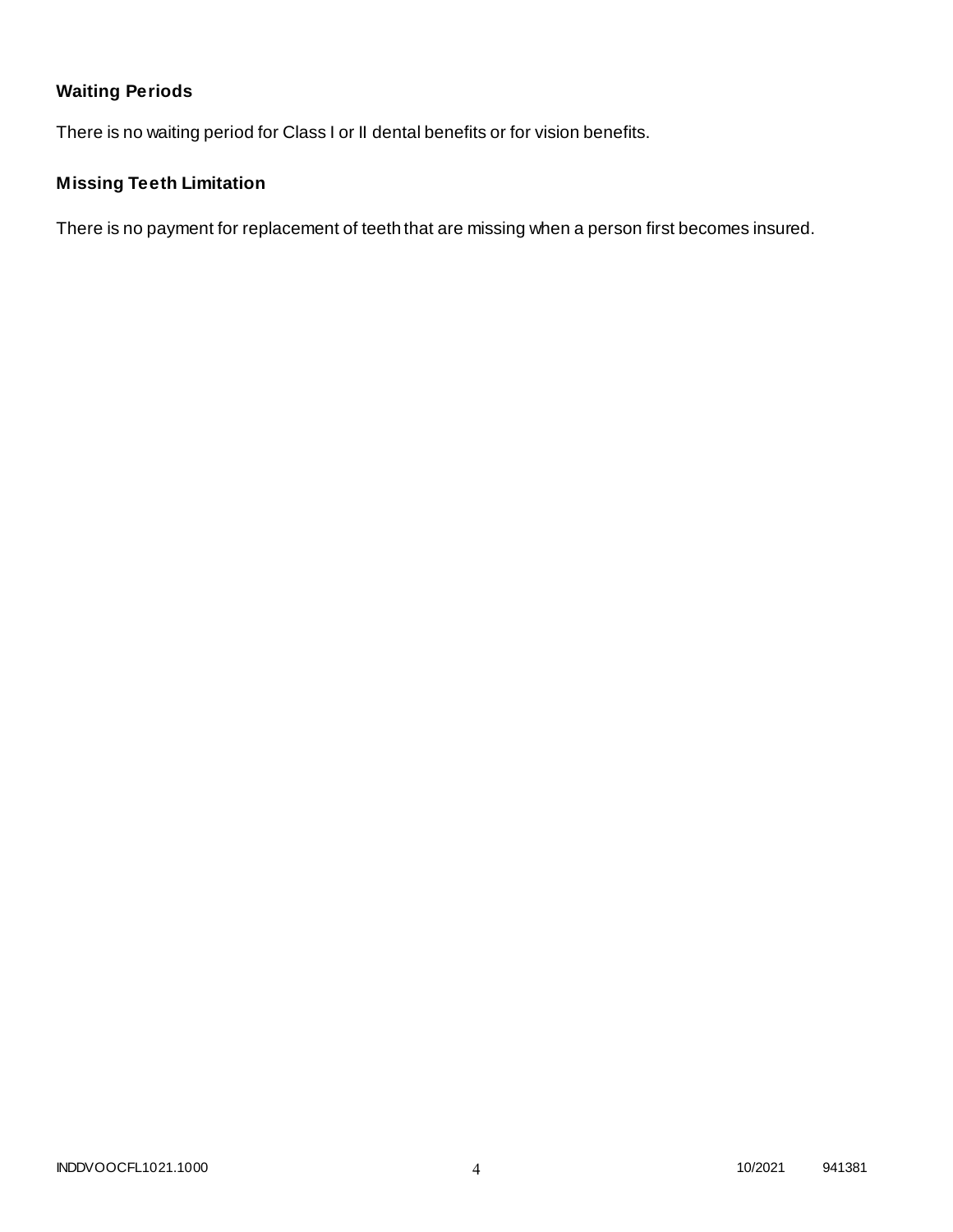# **Waiting Periods**

There is no waiting period for Class I or II dental benefits or for vision benefits.

# **Missing Teeth Limitation**

There is no payment for replacement of teeth that are missing when a person first becomes insured.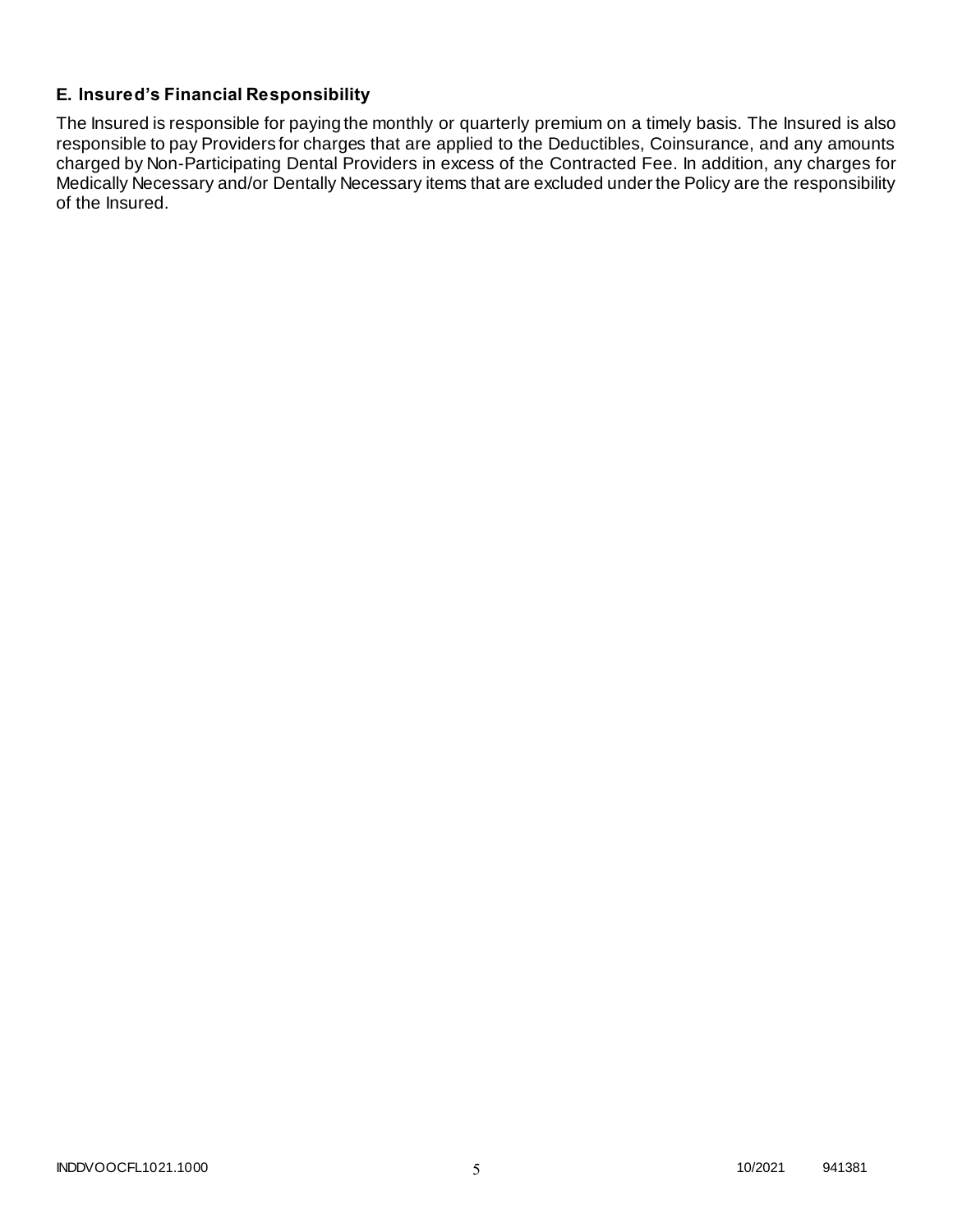## **E. Insured's Financial Responsibility**

The Insured is responsible for paying the monthly or quarterly premium on a timely basis. The Insured is also responsible to pay Providers for charges that are applied to the Deductibles, Coinsurance, and any amounts charged by Non-Participating Dental Providers in excess of the Contracted Fee. In addition, any charges for Medically Necessary and/or Dentally Necessary items that are excluded under the Policy are the responsibility of the Insured.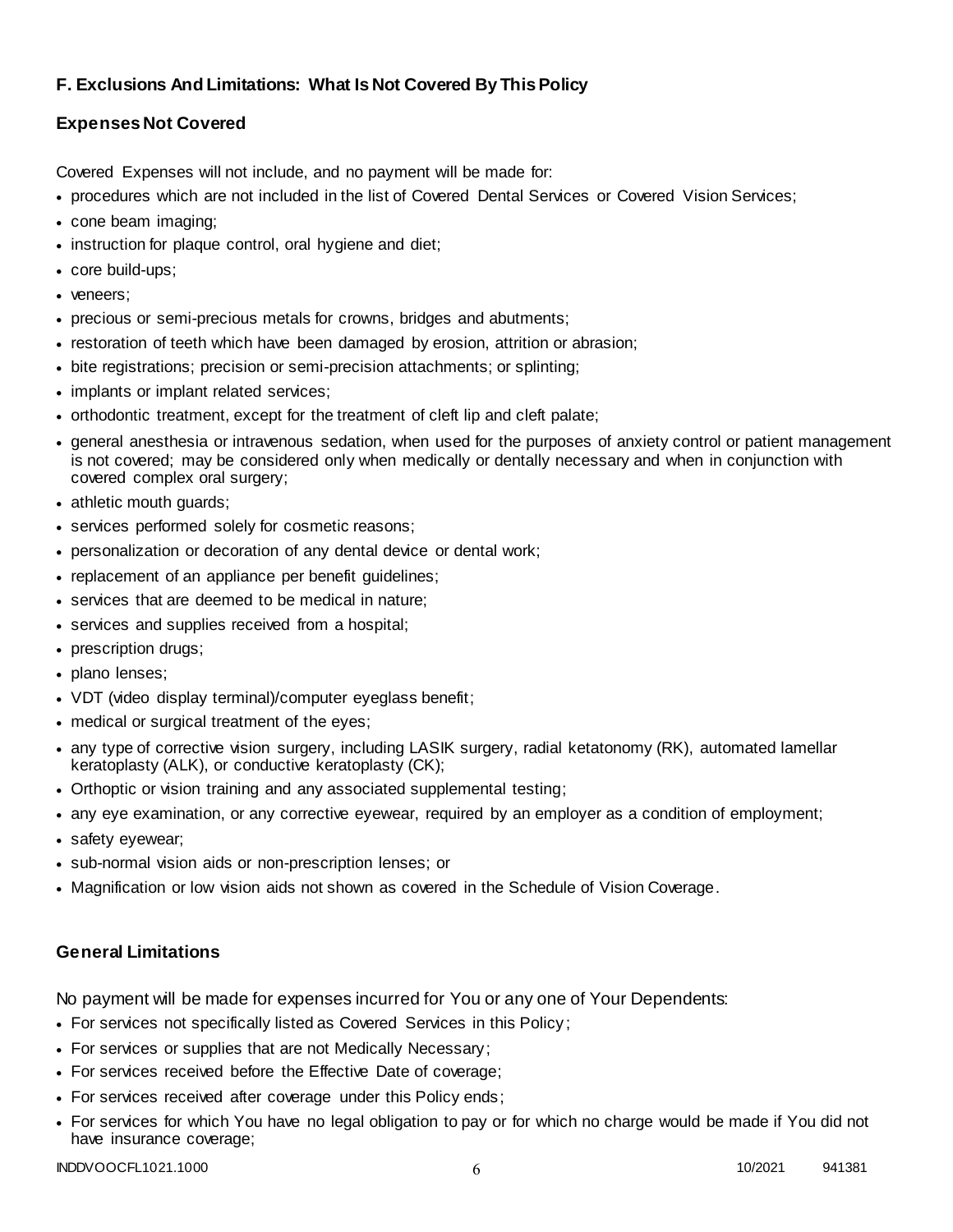## **F. Exclusions And Limitations: What Is Not Covered By This Policy**

## **Expenses Not Covered**

Covered Expenses will not include, and no payment will be made for:

- procedures which are not included in the list of Covered Dental Services or Covered Vision Services;
- cone beam imaging;
- instruction for plaque control, oral hygiene and diet;
- core build-ups;
- veneers:
- precious or semi-precious metals for crowns, bridges and abutments;
- restoration of teeth which have been damaged by erosion, attrition or abrasion;
- bite registrations; precision or semi-precision attachments; or splinting;
- implants or implant related services;
- orthodontic treatment, except for the treatment of cleft lip and cleft palate;
- general anesthesia or intravenous sedation, when used for the purposes of anxiety control or patient management is not covered; may be considered only when medically or dentally necessary and when in conjunction with covered complex oral surgery;
- athletic mouth guards;
- services performed solely for cosmetic reasons;
- personalization or decoration of any dental device or dental work;
- replacement of an appliance per benefit guidelines;
- services that are deemed to be medical in nature;
- services and supplies received from a hospital;
- prescription drugs;
- plano lenses;
- VDT (video display terminal)/computer eyeglass benefit;
- medical or surgical treatment of the eyes;
- any type of corrective vision surgery, including LASIK surgery, radial ketatonomy (RK), automated lamellar keratoplasty (ALK), or conductive keratoplasty (CK);
- Orthoptic or vision training and any associated supplemental testing;
- any eye examination, or any corrective eyewear, required by an employer as a condition of employment;
- safety eyewear;
- sub-normal vision aids or non-prescription lenses; or
- Magnification or low vision aids not shown as covered in the Schedule of Vision Coverage.

#### **General Limitations**

No payment will be made for expenses incurred for You or any one of Your Dependents:

- For services not specifically listed as Covered Services in this Policy;
- For services or supplies that are not Medically Necessary;
- For services received before the Effective Date of coverage;
- For services received after coverage under this Policy ends;
- For services for which You have no legal obligation to pay or for which no charge would be made if You did not have insurance coverage;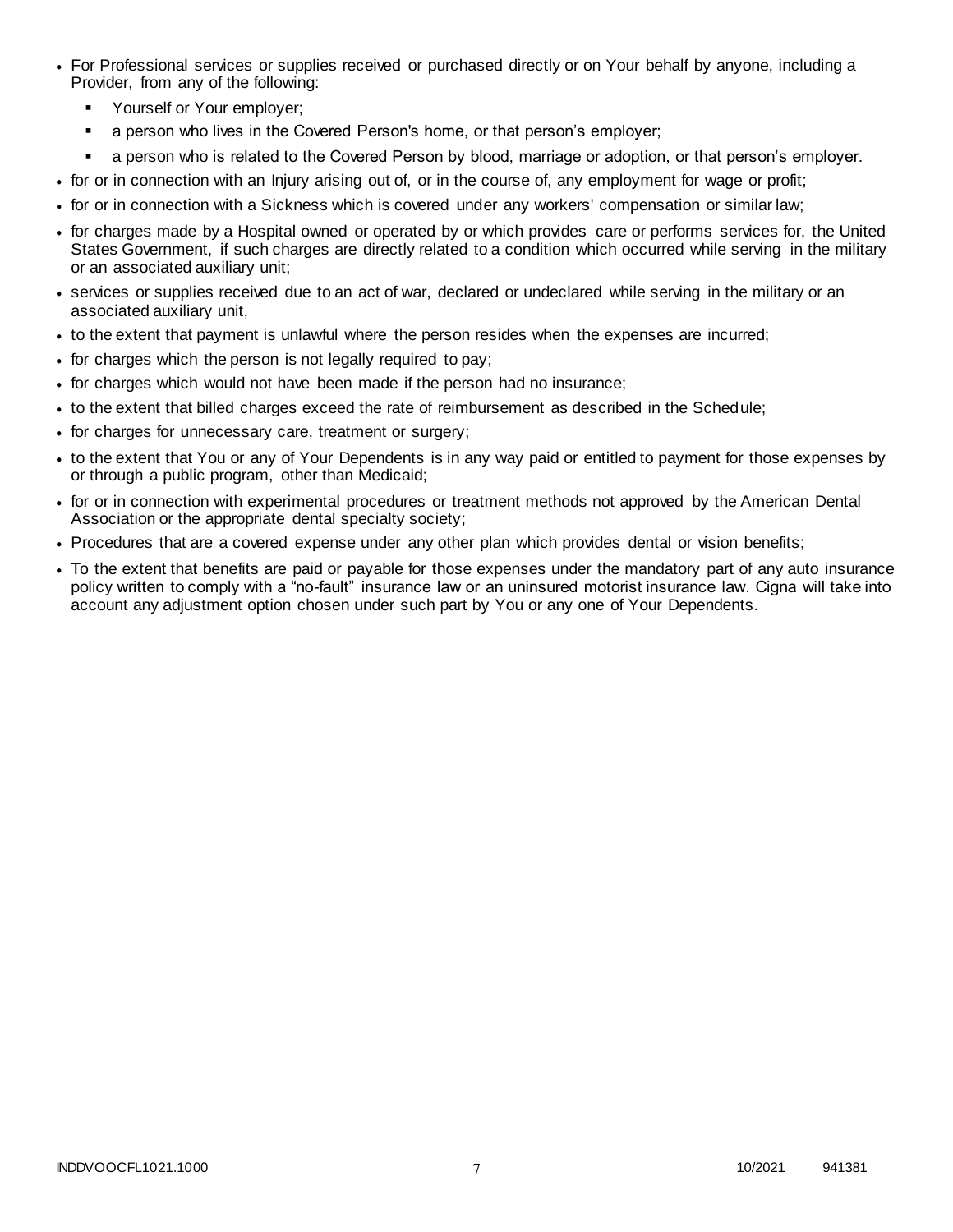- For Professional services or supplies received or purchased directly or on Your behalf by anyone, including a Provider, from any of the following:
	- Yourself or Your employer;
	- a person who lives in the Covered Person's home, or that person's employer;
	- a person who is related to the Covered Person by blood, marriage or adoption, or that person's employer.
- for or in connection with an Injury arising out of, or in the course of, any employment for wage or profit;
- for or in connection with a Sickness which is covered under any workers' compensation or similar law;
- for charges made by a Hospital owned or operated by or which provides care or performs services for, the United States Government, if such charges are directly related to a condition which occurred while serving in the military or an associated auxiliary unit;
- services or supplies received due to an act of war, declared or undeclared while serving in the military or an associated auxiliary unit,
- to the extent that payment is unlawful where the person resides when the expenses are incurred;
- for charges which the person is not legally required to pay;
- for charges which would not have been made if the person had no insurance;
- to the extent that billed charges exceed the rate of reimbursement as described in the Schedule;
- for charges for unnecessary care, treatment or surgery;
- to the extent that You or any of Your Dependents is in any way paid or entitled to payment for those expenses by or through a public program, other than Medicaid;
- for or in connection with experimental procedures or treatment methods not approved by the American Dental Association or the appropriate dental specialty society;
- Procedures that are a covered expense under any other plan which provides dental or vision benefits;
- To the extent that benefits are paid or payable for those expenses under the mandatory part of any auto insurance policy written to comply with a "no-fault" insurance law or an uninsured motorist insurance law. Cigna will take into account any adjustment option chosen under such part by You or any one of Your Dependents.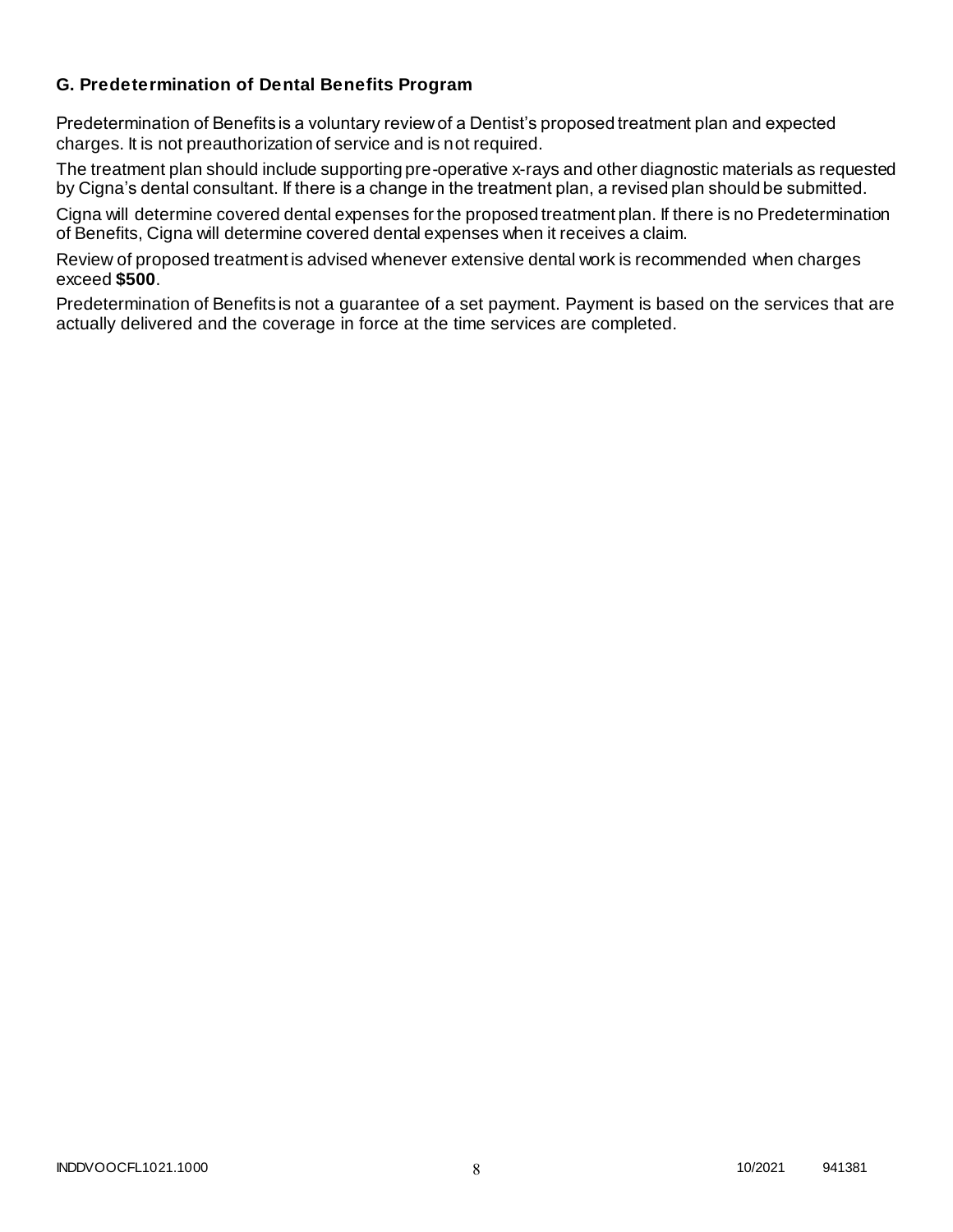## **G. Predetermination of Dental Benefits Program**

Predetermination of Benefits is a voluntary review of a Dentist's proposed treatment plan and expected charges. It is not preauthorization of service and is not required.

The treatment plan should include supporting pre-operative x-rays and other diagnostic materials as requested by Cigna's dental consultant. If there is a change in the treatment plan, a revised plan should be submitted.

Cigna will determine covered dental expenses for the proposed treatment plan. If there is no Predetermination of Benefits, Cigna will determine covered dental expenses when it receives a claim.

Review of proposed treatment is advised whenever extensive dental work is recommended when charges exceed **\$500**.

Predetermination of Benefits is not a guarantee of a set payment. Payment is based on the services that are actually delivered and the coverage in force at the time services are completed.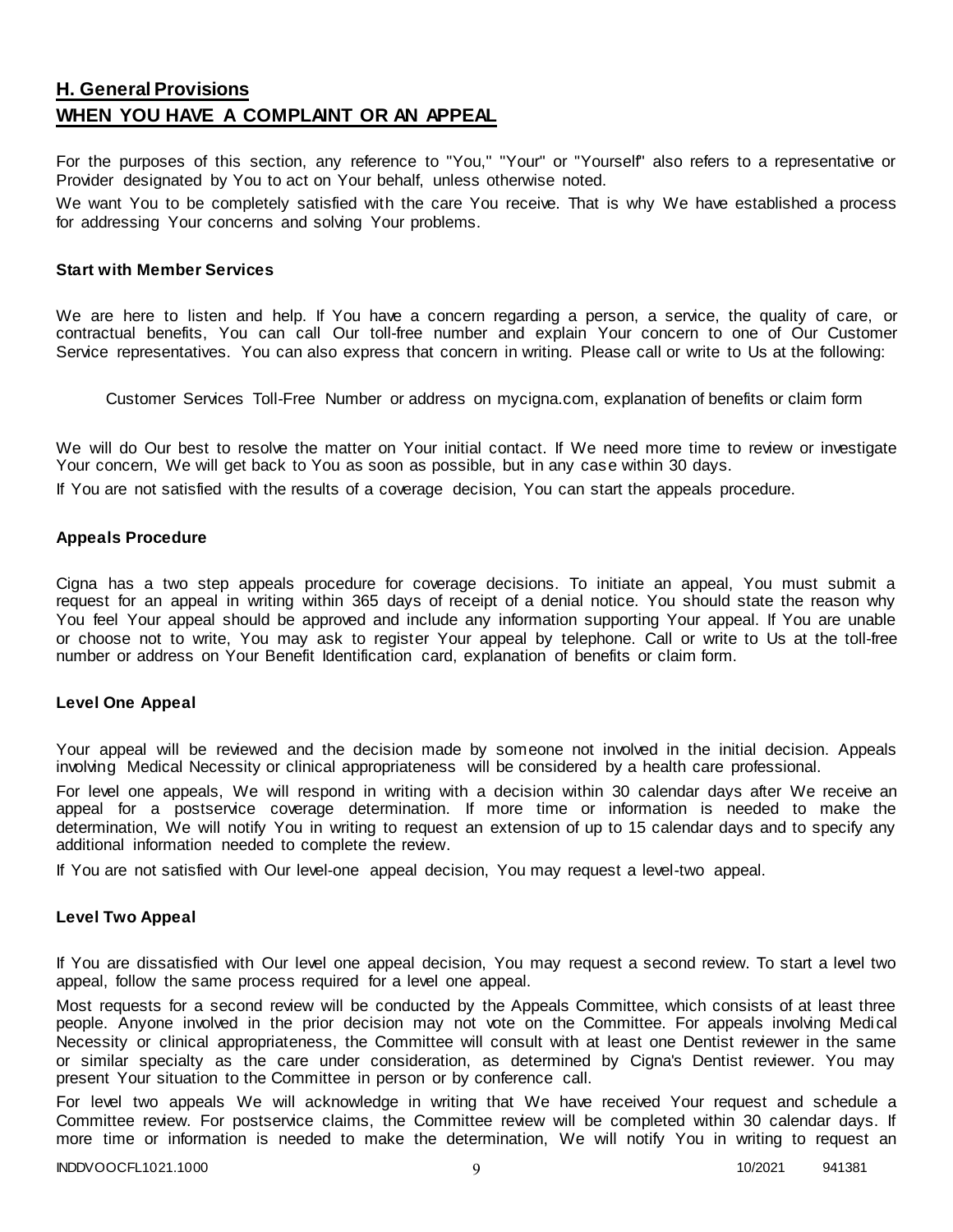## **H. General Provisions WHEN YOU HAVE A COMPLAINT OR AN APPEAL**

For the purposes of this section, any reference to "You," "Your" or "Yourself" also refers to a representative or Provider designated by You to act on Your behalf, unless otherwise noted.

We want You to be completely satisfied with the care You receive. That is why We have established a process for addressing Your concerns and solving Your problems.

#### **Start with Member Services**

We are here to listen and help. If You have a concern regarding a person, a service, the quality of care, or contractual benefits, You can call Our toll-free number and explain Your concern to one of Our Customer Service representatives. You can also express that concern in writing. Please call or write to Us at the following:

Customer Services Toll-Free Number or address on mycigna.com, explanation of benefits or claim form

We will do Our best to resolve the matter on Your initial contact. If We need more time to review or investigate Your concern, We will get back to You as soon as possible, but in any case within 30 days.

If You are not satisfied with the results of a coverage decision, You can start the appeals procedure.

#### **Appeals Procedure**

Cigna has a two step appeals procedure for coverage decisions. To initiate an appeal, You must submit a request for an appeal in writing within 365 days of receipt of a denial notice. You should state the reason why You feel Your appeal should be approved and include any information supporting Your appeal. If You are unable or choose not to write, You may ask to register Your appeal by telephone. Call or write to Us at the toll-free number or address on Your Benefit Identification card, explanation of benefits or claim form.

#### **Level One Appeal**

Your appeal will be reviewed and the decision made by someone not involved in the initial decision. Appeals involving Medical Necessity or clinical appropriateness will be considered by a health care professional.

For level one appeals, We will respond in writing with a decision within 30 calendar days after We receive an appeal for a postservice coverage determination. If more time or information is needed to make the determination, We will notify You in writing to request an extension of up to 15 calendar days and to specify any additional information needed to complete the review.

If You are not satisfied with Our level-one appeal decision, You may request a level-two appeal.

#### **Level Two Appeal**

If You are dissatisfied with Our level one appeal decision, You may request a second review. To start a level two appeal, follow the same process required for a level one appeal.

Most requests for a second review will be conducted by the Appeals Committee, which consists of at least three people. Anyone involved in the prior decision may not vote on the Committee. For appeals involving Medi cal Necessity or clinical appropriateness, the Committee will consult with at least one Dentist reviewer in the same or similar specialty as the care under consideration, as determined by Cigna's Dentist reviewer. You may present Your situation to the Committee in person or by conference call.

For level two appeals We will acknowledge in writing that We have received Your request and schedule a Committee review. For postservice claims, the Committee review will be completed within 30 calendar days. If more time or information is needed to make the determination, We will notify You in writing to request an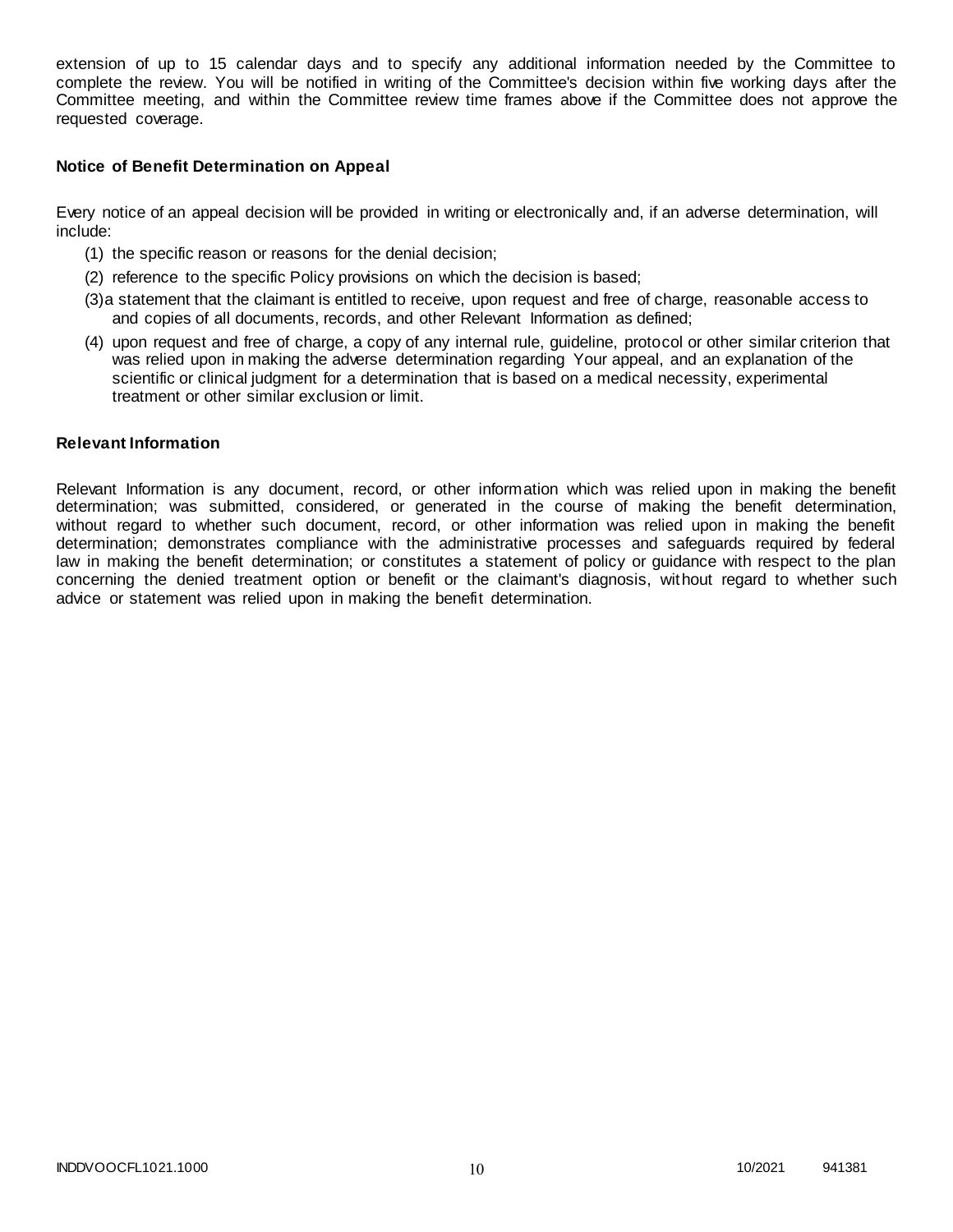extension of up to 15 calendar days and to specify any additional information needed by the Committee to complete the review. You will be notified in writing of the Committee's decision within five working days after the Committee meeting, and within the Committee review time frames above if the Committee does not approve the requested coverage.

#### **Notice of Benefit Determination on Appeal**

Every notice of an appeal decision will be provided in writing or electronically and, if an adverse determination, will include:

- (1) the specific reason or reasons for the denial decision;
- (2) reference to the specific Policy provisions on which the decision is based;
- (3)a statement that the claimant is entitled to receive, upon request and free of charge, reasonable access to and copies of all documents, records, and other Relevant Information as defined;
- (4) upon request and free of charge, a copy of any internal rule, guideline, protocol or other similar criterion that was relied upon in making the adverse determination regarding Your appeal, and an explanation of the scientific or clinical judgment for a determination that is based on a medical necessity, experimental treatment or other similar exclusion or limit.

#### **Relevant Information**

Relevant Information is any document, record, or other information which was relied upon in making the benefit determination; was submitted, considered, or generated in the course of making the benefit determination, without regard to whether such document, record, or other information was relied upon in making the benefit determination; demonstrates compliance with the administrative processes and safeguards required by federal law in making the benefit determination; or constitutes a statement of policy or guidance with respect to the plan concerning the denied treatment option or benefit or the claimant's diagnosis, without regard to whether such advice or statement was relied upon in making the benefit determination.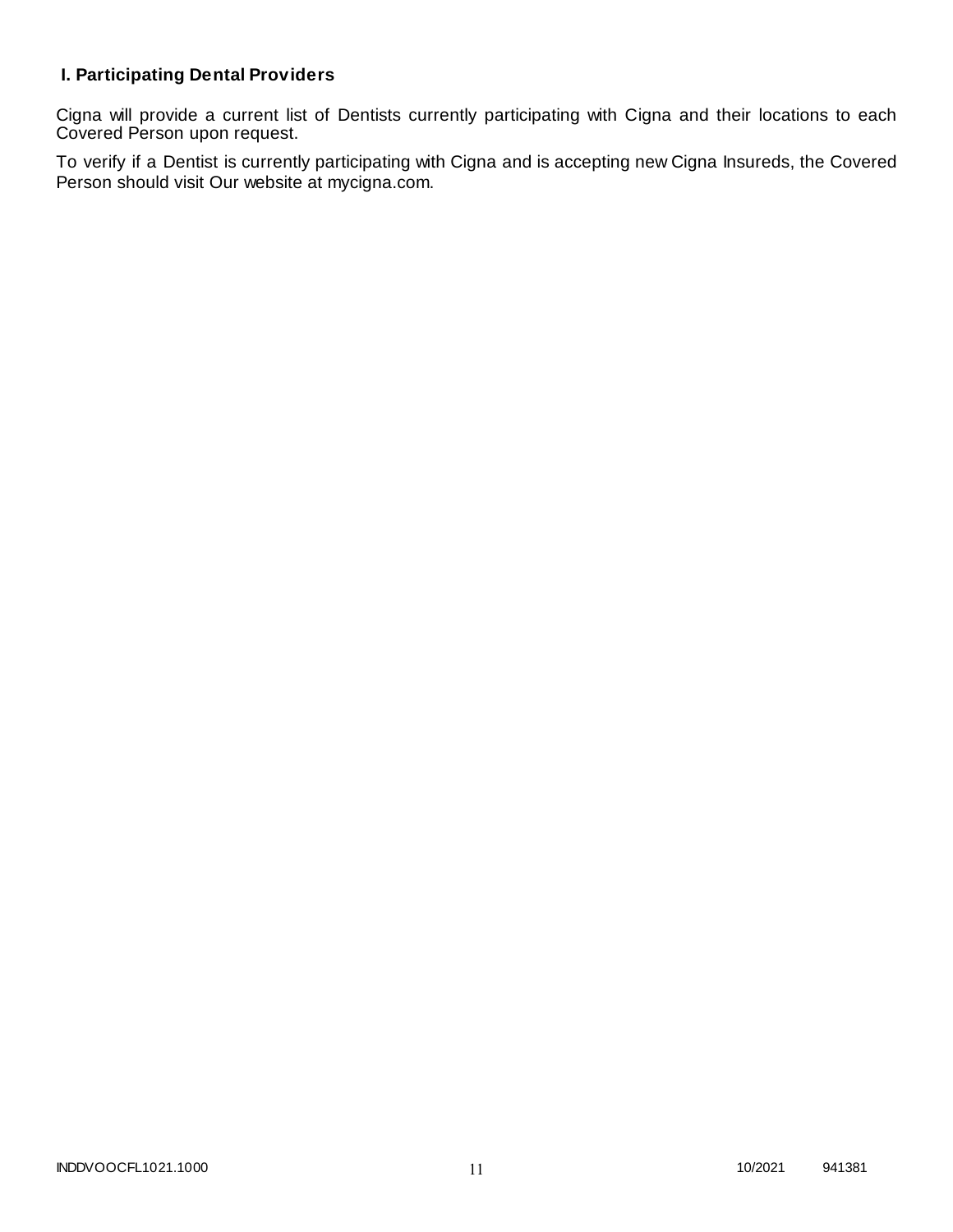## **I. Participating Dental Providers**

Cigna will provide a current list of Dentists currently participating with Cigna and their locations to each Covered Person upon request.

To verify if a Dentist is currently participating with Cigna and is accepting new Cigna Insureds, the Covered Person should visit Our website at mycigna.com.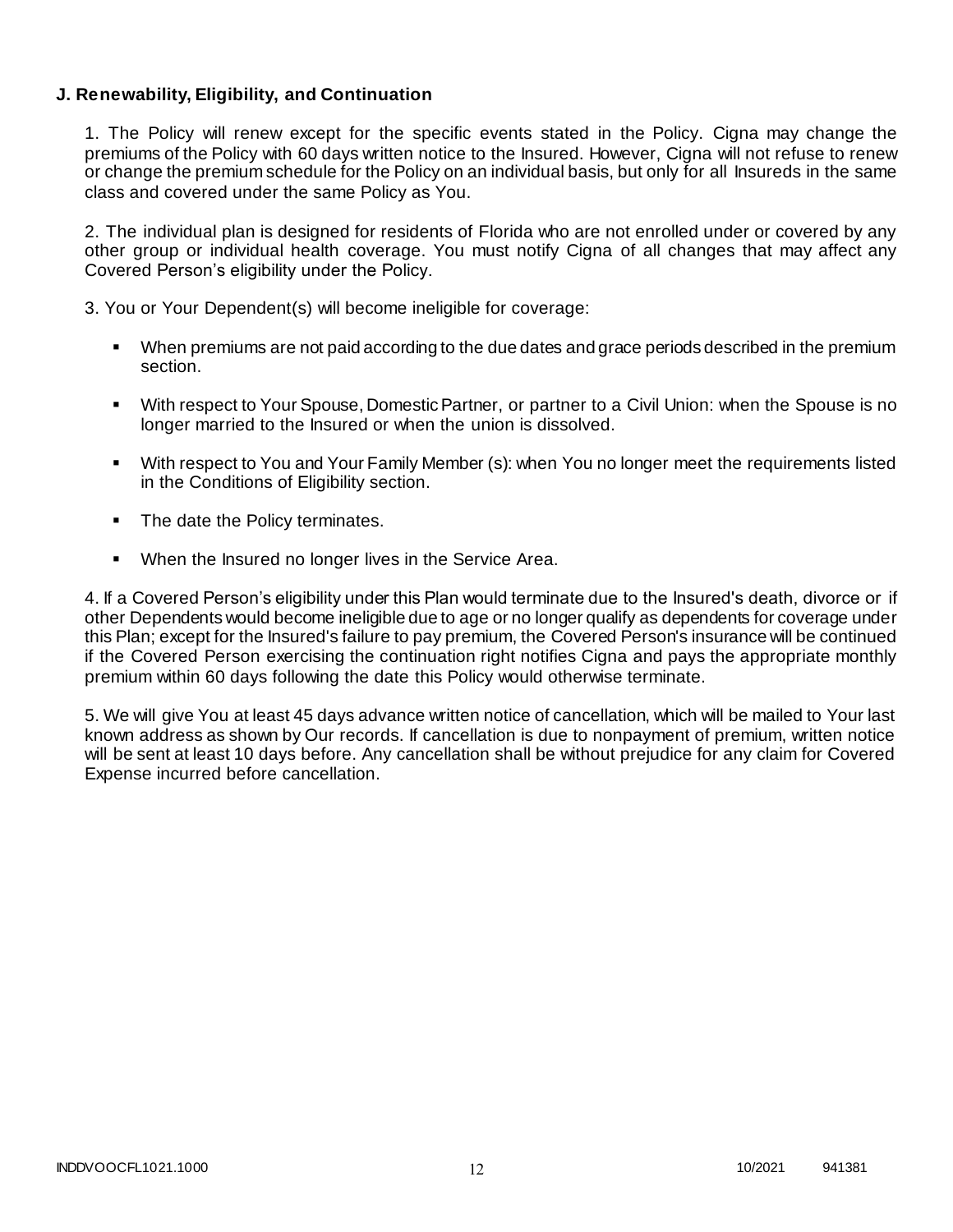#### **J. Renewability, Eligibility, and Continuation**

1. The Policy will renew except for the specific events stated in the Policy. Cigna may change the premiums of the Policy with 60 days written notice to the Insured. However, Cigna will not refuse to renew or change the premium schedule for the Policy on an individual basis, but only for all Insureds in the same class and covered under the same Policy as You.

2. The individual plan is designed for residents of Florida who are not enrolled under or covered by any other group or individual health coverage. You must notify Cigna of all changes that may affect any Covered Person's eligibility under the Policy.

3. You or Your Dependent(s) will become ineligible for coverage:

- When premiums are not paid according to the due dates and grace periods described in the premium section.
- With respect to Your Spouse, Domestic Partner, or partner to a Civil Union: when the Spouse is no longer married to the Insured or when the union is dissolved.
- With respect to You and Your Family Member (s): when You no longer meet the requirements listed in the Conditions of Eligibility section.
- The date the Policy terminates.
- **When the Insured no longer lives in the Service Area.**

4. If a Covered Person's eligibility under this Plan would terminate due to the Insured's death, divorce or if other Dependents would become ineligible due to age or no longer qualify as dependents for coverage under this Plan; except for the Insured's failure to pay premium, the Covered Person's insurance will be continued if the Covered Person exercising the continuation right notifies Cigna and pays the appropriate monthly premium within 60 days following the date this Policy would otherwise terminate.

5. We will give You at least 45 days advance written notice of cancellation, which will be mailed to Your last known address as shown by Our records. If cancellation is due to nonpayment of premium, written notice will be sent at least 10 days before. Any cancellation shall be without prejudice for any claim for Covered Expense incurred before cancellation.